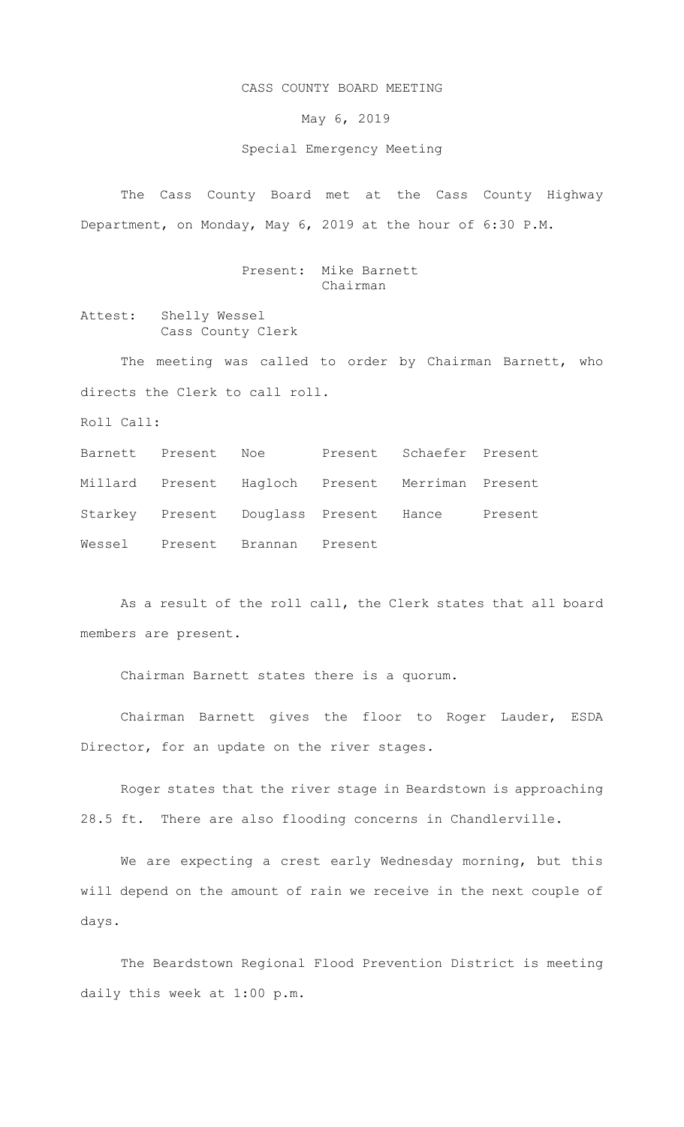## CASS COUNTY BOARD MEETING

May 6, 2019

## Special Emergency Meeting

The Cass County Board met at the Cass County Highway Department, on Monday, May 6, 2019 at the hour of 6:30 P.M.

> Present: Mike Barnett Chairman

Attest: Shelly Wessel Cass County Clerk

The meeting was called to order by Chairman Barnett, who directs the Clerk to call roll.

Roll Call:

Barnett Present Noe Present Schaefer Present Millard Present Hagloch Present Merriman Present Starkey Present Douglass Present Hance Present Wessel Present Brannan Present

As a result of the roll call, the Clerk states that all board members are present.

Chairman Barnett states there is a quorum.

Chairman Barnett gives the floor to Roger Lauder, ESDA Director, for an update on the river stages.

Roger states that the river stage in Beardstown is approaching 28.5 ft. There are also flooding concerns in Chandlerville.

We are expecting a crest early Wednesday morning, but this will depend on the amount of rain we receive in the next couple of days.

The Beardstown Regional Flood Prevention District is meeting daily this week at 1:00 p.m.